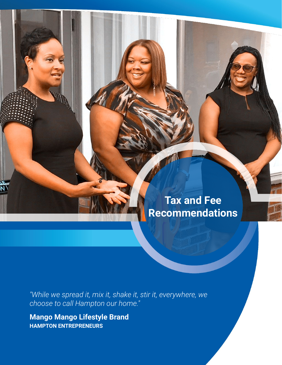**Tax and Fee Recommendations**

*"While we spread it, mix it, shake it, stir it, everywhere, we choose to call Hampton our home."* 

**Mango Mango Lifestyle Brand HAMPTON ENTREPRENEURS**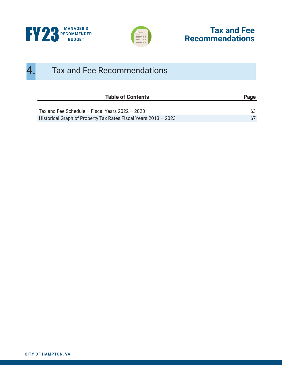





## 4. Tax and Fee Recommendations

| <b>Table of Contents</b>                                        | Page |
|-----------------------------------------------------------------|------|
|                                                                 |      |
| Tax and Fee Schedule - Fiscal Years 2022 - 2023                 | 63   |
| Historical Graph of Property Tax Rates Fiscal Years 2013 - 2023 | 67   |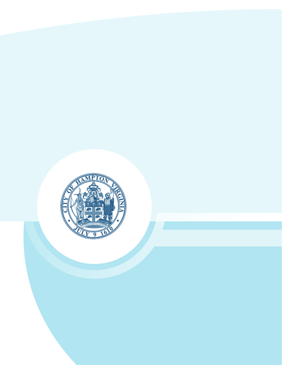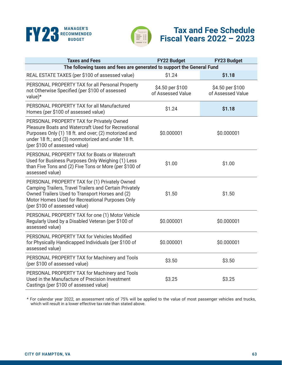



| <b>Taxes and Fees</b>                                                                                                                                                                                                                            | <b>FY22 Budget</b>                    | <b>FY23 Budget</b>                    |  |  |
|--------------------------------------------------------------------------------------------------------------------------------------------------------------------------------------------------------------------------------------------------|---------------------------------------|---------------------------------------|--|--|
| The following taxes and fees are generated to support the General Fund                                                                                                                                                                           |                                       |                                       |  |  |
| REAL ESTATE TAXES (per \$100 of assessed value)                                                                                                                                                                                                  | \$1.24                                | \$1.18                                |  |  |
| PERSONAL PROPERTY TAX for all Personal Property<br>not Otherwise Specified (per \$100 of assessed<br>value)*                                                                                                                                     | \$4.50 per \$100<br>of Assessed Value | \$4.50 per \$100<br>of Assessed Value |  |  |
| PERSONAL PROPERTY TAX for all Manufactured<br>Homes (per \$100 of assessed value)                                                                                                                                                                | \$1.24                                | \$1.18                                |  |  |
| PERSONAL PROPERTY TAX for Privately Owned<br>Pleasure Boats and Watercraft Used for Recreational<br>Purposes Only (1) 18 ft. and over; (2) motorized and<br>under 18 ft.; and (3) nonmotorized and under 18 ft.<br>(per \$100 of assessed value) | \$0.000001                            | \$0.000001                            |  |  |
| PERSONAL PROPERTY TAX for Boats or Watercraft<br>Used for Business Purposes Only Weighing (1) Less<br>than Five Tons and (2) Five Tons or More (per \$100 of<br>assessed value)                                                                  | \$1.00                                | \$1.00                                |  |  |
| PERSONAL PROPERTY TAX for (1) Privately Owned<br>Camping Trailers, Travel Trailers and Certain Privately<br>Owned Trailers Used to Transport Horses and (2)<br>Motor Homes Used for Recreational Purposes Only<br>(per \$100 of assessed value)  | \$1.50                                | \$1.50                                |  |  |
| PERSONAL PROPERTY TAX for one (1) Motor Vehicle<br>Regularly Used by a Disabled Veteran (per \$100 of<br>assessed value)                                                                                                                         | \$0.000001                            | \$0.000001                            |  |  |
| PERSONAL PROPERTY TAX for Vehicles Modified<br>for Physically Handicapped Individuals (per \$100 of<br>assessed value)                                                                                                                           | \$0.000001                            | \$0.000001                            |  |  |
| PERSONAL PROPERTY TAX for Machinery and Tools<br>(per \$100 of assessed value)                                                                                                                                                                   | \$3.50                                | \$3.50                                |  |  |
| PERSONAL PROPERTY TAX for Machinery and Tools<br>Used in the Manufacture of Precision Investment<br>Castings (per \$100 of assessed value)                                                                                                       | \$3.25                                | \$3.25                                |  |  |

\* For calendar year 2022, an assessment ratio of 75% will be applied to the value of most passenger vehicles and trucks, which will result in a lower effective tax rate than stated above.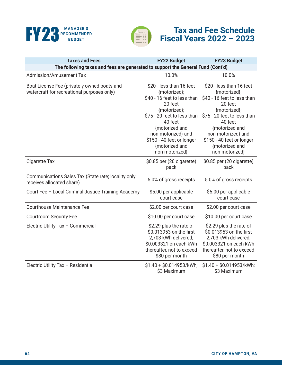



## **Tax and Fee Schedule Fiscal Years 2022 – 2023**

| <b>Taxes and Fees</b>                                                                     | <b>FY22 Budget</b>                                                                                                                                                                                                                                    | <b>FY23 Budget</b>                                                                                                                                                                                                                                    |  |
|-------------------------------------------------------------------------------------------|-------------------------------------------------------------------------------------------------------------------------------------------------------------------------------------------------------------------------------------------------------|-------------------------------------------------------------------------------------------------------------------------------------------------------------------------------------------------------------------------------------------------------|--|
| The following taxes and fees are generated to support the General Fund (Cont'd)           |                                                                                                                                                                                                                                                       |                                                                                                                                                                                                                                                       |  |
| <b>Admission/Amusement Tax</b>                                                            | 10.0%                                                                                                                                                                                                                                                 | 10.0%                                                                                                                                                                                                                                                 |  |
| Boat License Fee (privately owned boats and<br>watercraft for recreational purposes only) | \$20 - less than 16 feet<br>{motorized};<br>\$40 - 16 feet to less than<br>20 feet<br>{motorized};<br>\$75 - 20 feet to less than<br>40 feet<br>{motorized and<br>non-motorized} and<br>\$150 - 40 feet or longer<br>{motorized and<br>non-motorized} | \$20 - less than 16 feet<br>{motorized};<br>\$40 - 16 feet to less than<br>20 feet<br>{motorized};<br>\$75 - 20 feet to less than<br>40 feet<br>{motorized and<br>non-motorized} and<br>\$150 - 40 feet or longer<br>{motorized and<br>non-motorized} |  |
| Cigarette Tax                                                                             | \$0.85 per (20 cigarette)<br>pack                                                                                                                                                                                                                     | \$0.85 per (20 cigarette)<br>pack                                                                                                                                                                                                                     |  |
| Communications Sales Tax (State rate; locality only<br>receives allocated share)          | 5.0% of gross receipts                                                                                                                                                                                                                                | 5.0% of gross receipts                                                                                                                                                                                                                                |  |
| Court Fee - Local Criminal Justice Training Academy                                       | \$5.00 per applicable<br>court case                                                                                                                                                                                                                   | \$5.00 per applicable<br>court case                                                                                                                                                                                                                   |  |
| <b>Courthouse Maintenance Fee</b>                                                         | \$2.00 per court case                                                                                                                                                                                                                                 | \$2.00 per court case                                                                                                                                                                                                                                 |  |
| <b>Courtroom Security Fee</b>                                                             | \$10.00 per court case                                                                                                                                                                                                                                | \$10.00 per court case                                                                                                                                                                                                                                |  |
| Electric Utility Tax - Commercial                                                         | \$2.29 plus the rate of<br>\$0.013953 on the first<br>2,703 kWh delivered;<br>\$0.003321 on each kWh<br>thereafter, not to exceed<br>\$80 per month                                                                                                   | \$2.29 plus the rate of<br>\$0.013953 on the first<br>2,703 kWh delivered;<br>\$0.003321 on each kWh<br>thereafter, not to exceed<br>\$80 per month                                                                                                   |  |
| Electric Utility Tax - Residential                                                        | $$1.40 + $0.014953/kWh;$<br>\$3 Maximum                                                                                                                                                                                                               | $$1.40 + $0.014953/kWh;$<br>\$3 Maximum                                                                                                                                                                                                               |  |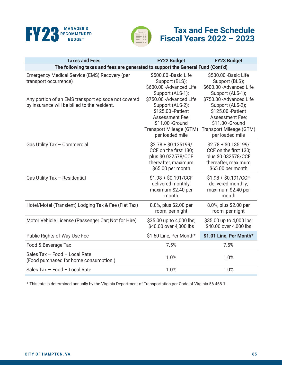



## **Tax and Fee Schedule Fiscal Years 2022 – 2023**

| <b>Taxes and Fees</b>                                                                               | <b>FY22 Budget</b>                                                                                                                                             | <b>FY23 Budget</b>                                                                                                                                                    |  |
|-----------------------------------------------------------------------------------------------------|----------------------------------------------------------------------------------------------------------------------------------------------------------------|-----------------------------------------------------------------------------------------------------------------------------------------------------------------------|--|
| The following taxes and fees are generated to support the General Fund (Cont'd)                     |                                                                                                                                                                |                                                                                                                                                                       |  |
| Emergency Medical Service (EMS) Recovery (per<br>transport occurrence)                              | \$500.00 - Basic Life<br>Support (BLS);<br>\$600.00 - Advanced Life<br>Support (ALS-1);                                                                        | \$500.00 - Basic Life<br>Support (BLS);<br>\$600.00 - Advanced Life<br>Support (ALS-1);                                                                               |  |
| Any portion of an EMS transport episode not covered<br>by insurance will be billed to the resident. | \$750.00 - Advanced Life<br>Support (ALS-2);<br>\$125.00 - Patient<br>Assessment Fee;<br>\$11.00 - Ground<br><b>Transport Mileage (GTM)</b><br>per loaded mile | \$750.00 - Advanced Life<br>Support (ALS-2);<br>\$125.00 - Patient<br><b>Assessment Fee;</b><br>\$11.00 - Ground<br><b>Transport Mileage (GTM)</b><br>per loaded mile |  |
| Gas Utility Tax - Commercial                                                                        | $$2.78 + $0.135199/$<br>CCF on the first 130;<br>plus \$0.032578/CCF<br>thereafter, maximum<br>\$65.00 per month                                               | $$2.78 + $0.135199/$<br>CCF on the first 130;<br>plus \$0.032578/CCF<br>thereafter, maximum<br>\$65.00 per month                                                      |  |
| Gas Utility Tax - Residential                                                                       | $$1.98 + $0.191/CCF$<br>delivered monthly;<br>maximum \$2.40 per<br>month                                                                                      | $$1.98 + $0.191/CCF$<br>delivered monthly;<br>maximum \$2.40 per<br>month                                                                                             |  |
| Hotel/Motel (Transient) Lodging Tax & Fee (Flat Tax)                                                | 8.0%, plus \$2.00 per<br>room, per night                                                                                                                       | 8.0%, plus \$2.00 per<br>room, per night                                                                                                                              |  |
| Motor Vehicle License (Passenger Car; Not for Hire)                                                 | \$35.00 up to 4,000 lbs;<br>\$40.00 over 4,000 lbs                                                                                                             | \$35.00 up to 4,000 lbs;<br>\$40.00 over 4,000 lbs                                                                                                                    |  |
| Public Rights-of-Way Use Fee                                                                        | \$1.60 Line, Per Month*                                                                                                                                        | \$1.01 Line, Per Month*                                                                                                                                               |  |
| Food & Beverage Tax                                                                                 | 7.5%                                                                                                                                                           | 7.5%                                                                                                                                                                  |  |
| Sales Tax - Food - Local Rate<br>(Food purchased for home consumption.)                             | 1.0%                                                                                                                                                           | 1.0%                                                                                                                                                                  |  |
| Sales Tax - Food - Local Rate                                                                       | 1.0%                                                                                                                                                           | 1.0%                                                                                                                                                                  |  |

\* This rate is determined annually by the Virginia Department of Transportation per Code of Virginia 56-468.1.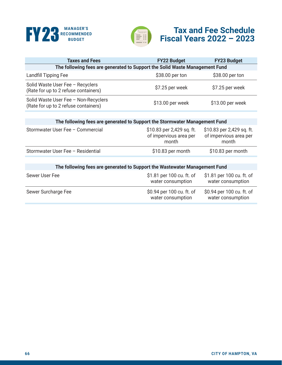



| <b>Taxes and Fees</b>                                                        | <b>FY22 Budget</b>                                           | <b>FY23 Budget</b>                                           |  |
|------------------------------------------------------------------------------|--------------------------------------------------------------|--------------------------------------------------------------|--|
| The following fees are generated to Support the Solid Waste Management Fund  |                                                              |                                                              |  |
| <b>Landfill Tipping Fee</b>                                                  | \$38.00 per ton                                              | \$38.00 per ton                                              |  |
| Solid Waste User Fee - Recyclers<br>(Rate for up to 2 refuse containers)     | \$7.25 per week                                              | \$7.25 per week                                              |  |
| Solid Waste User Fee - Non-Recyclers<br>(Rate for up to 2 refuse containers) | \$13.00 per week                                             | \$13.00 per week                                             |  |
|                                                                              |                                                              |                                                              |  |
| The following fees are generated to Support the Stormwater Management Fund   |                                                              |                                                              |  |
| Stormwater User Fee - Commercial                                             | \$10.83 per 2,429 sq. ft.<br>of impervious area per<br>month | \$10.83 per 2,429 sq. ft.<br>of impervious area per<br>month |  |
| Stormwater User Fee - Residential                                            | \$10.83 per month                                            | \$10.83 per month                                            |  |
|                                                                              |                                                              |                                                              |  |
| The following fees are generated to Support the Wastewater Management Fund   |                                                              |                                                              |  |
| <b>Sewer User Fee</b>                                                        | \$1.81 per 100 cu. ft. of<br>water consumption               | \$1.81 per 100 cu. ft. of<br>water consumption               |  |
| Sewer Surcharge Fee                                                          | \$0.94 per 100 cu. ft. of<br>water consumption               | \$0.94 per 100 cu. ft. of<br>water consumption               |  |
|                                                                              |                                                              |                                                              |  |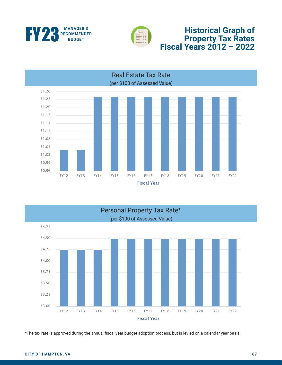



## **Historical Graph of Property Tax Rates Fiscal Years 2012 – 2022**





\*The tax rate is approved during the annual fiscal year budget adoption process, but is levied on a calendar year basis.